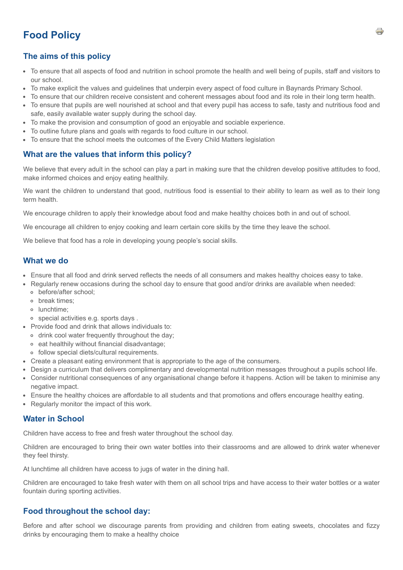# **Food Policy**

# **The aims of this policy**

- To ensure that all aspects of food and nutrition in school promote the health and well being of pupils, staff and visitors to our school.
- To make explicit the values and guidelines that underpin every aspect of food culture in Baynards Primary School.
- To ensure that our children receive consistent and coherent messages about food and its role in their long term health.
- To ensure that pupils are well nourished at school and that every pupil has access to safe, tasty and nutritious food and safe, easily available water supply during the school day.
- To make the provision and consumption of good an enjoyable and sociable experience.
- To outline future plans and goals with regards to food culture in our school.
- To ensure that the school meets the outcomes of the Every Child Matters legislation

### **What are the values that inform this policy?**

We believe that every adult in the school can play a part in making sure that the children develop positive attitudes to food, make informed choices and enjoy eating healthily.

We want the children to understand that good, nutritious food is essential to their ability to learn as well as to their long term health.

We encourage children to apply their knowledge about food and make healthy choices both in and out of school.

We encourage all children to enjoy cooking and learn certain core skills by the time they leave the school.

We believe that food has a role in developing young people's social skills.

### **What we do**

- Ensure that all food and drink served reflects the needs of all consumers and makes healthy choices easy to take.
- Regularly renew occasions during the school day to ensure that good and/or drinks are available when needed:
	- before/after school;
	- o break times:
	- lunchtime;
	- special activities e.g. sports days .
- Provide food and drink that allows individuals to:
	- o drink cool water frequently throughout the day;
	- eat healthily without financial disadvantage;
	- follow special diets/cultural requirements.
- Create a pleasant eating environment that is appropriate to the age of the consumers.
- Design a curriculum that delivers complimentary and developmental nutrition messages throughout a pupils school life.
- Consider nutritional consequences of any organisational change before it happens. Action will be taken to minimise any negative impact.
- Ensure the healthy choices are affordable to all students and that promotions and offers encourage healthy eating.
- Regularly monitor the impact of this work.

## **Water in School**

Children have access to free and fresh water throughout the school day.

Children are encouraged to bring their own water bottles into their classrooms and are allowed to drink water whenever they feel thirsty.

At lunchtime all children have access to jugs of water in the dining hall.

Children are encouraged to take fresh water with them on all school trips and have access to their water bottles or a water fountain during sporting activities.

## **Food throughout the school day:**

Before and after school we discourage parents from providing and children from eating sweets, chocolates and fizzy drinks by encouraging them to make a healthy choice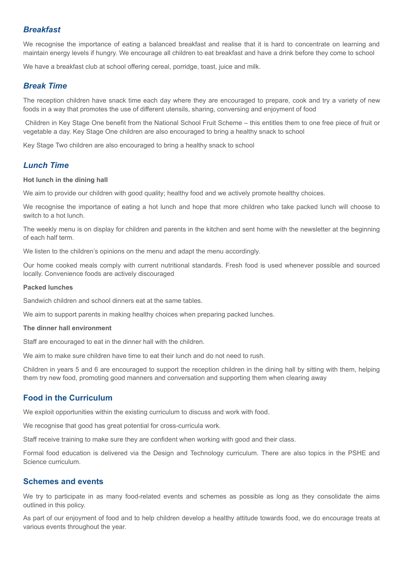### *Breakfast*

We recognise the importance of eating a balanced breakfast and realise that it is hard to concentrate on learning and maintain energy levels if hungry. We encourage all children to eat breakfast and have a drink before they come to school

We have a breakfast club at school offering cereal, porridge, toast, juice and milk.

#### *Break Time*

The reception children have snack time each day where they are encouraged to prepare, cook and try a variety of new foods in a way that promotes the use of different utensils, sharing, conversing and enjoyment of food

Children in Key Stage One benefit from the National School Fruit Scheme – this entitles them to one free piece of fruit or vegetable a day. Key Stage One children are also encouraged to bring a healthy snack to school

Key Stage Two children are also encouraged to bring a healthy snack to school

### *Lunch Time*

#### **Hot lunch in the dining hall**

We aim to provide our children with good quality; healthy food and we actively promote healthy choices.

We recognise the importance of eating a hot lunch and hope that more children who take packed lunch will choose to switch to a hot lunch.

The weekly menu is on display for children and parents in the kitchen and sent home with the newsletter at the beginning of each half term.

We listen to the children's opinions on the menu and adapt the menu accordingly.

Our home cooked meals comply with current nutritional standards. Fresh food is used whenever possible and sourced locally. Convenience foods are actively discouraged

#### **Packed lunches**

Sandwich children and school dinners eat at the same tables.

We aim to support parents in making healthy choices when preparing packed lunches.

#### **The dinner hall environment**

Staff are encouraged to eat in the dinner hall with the children.

We aim to make sure children have time to eat their lunch and do not need to rush.

Children in years 5 and 6 are encouraged to support the reception children in the dining hall by sitting with them, helping them try new food, promoting good manners and conversation and supporting them when clearing away

## **Food in the Curriculum**

We exploit opportunities within the existing curriculum to discuss and work with food.

We recognise that good has great potential for cross-curricula work.

Staff receive training to make sure they are confident when working with good and their class.

Formal food education is delivered via the Design and Technology curriculum. There are also topics in the PSHE and Science curriculum.

#### **Schemes and events**

We try to participate in as many food-related events and schemes as possible as long as they consolidate the aims outlined in this policy.

As part of our enjoyment of food and to help children develop a healthy attitude towards food, we do encourage treats at various events throughout the year.